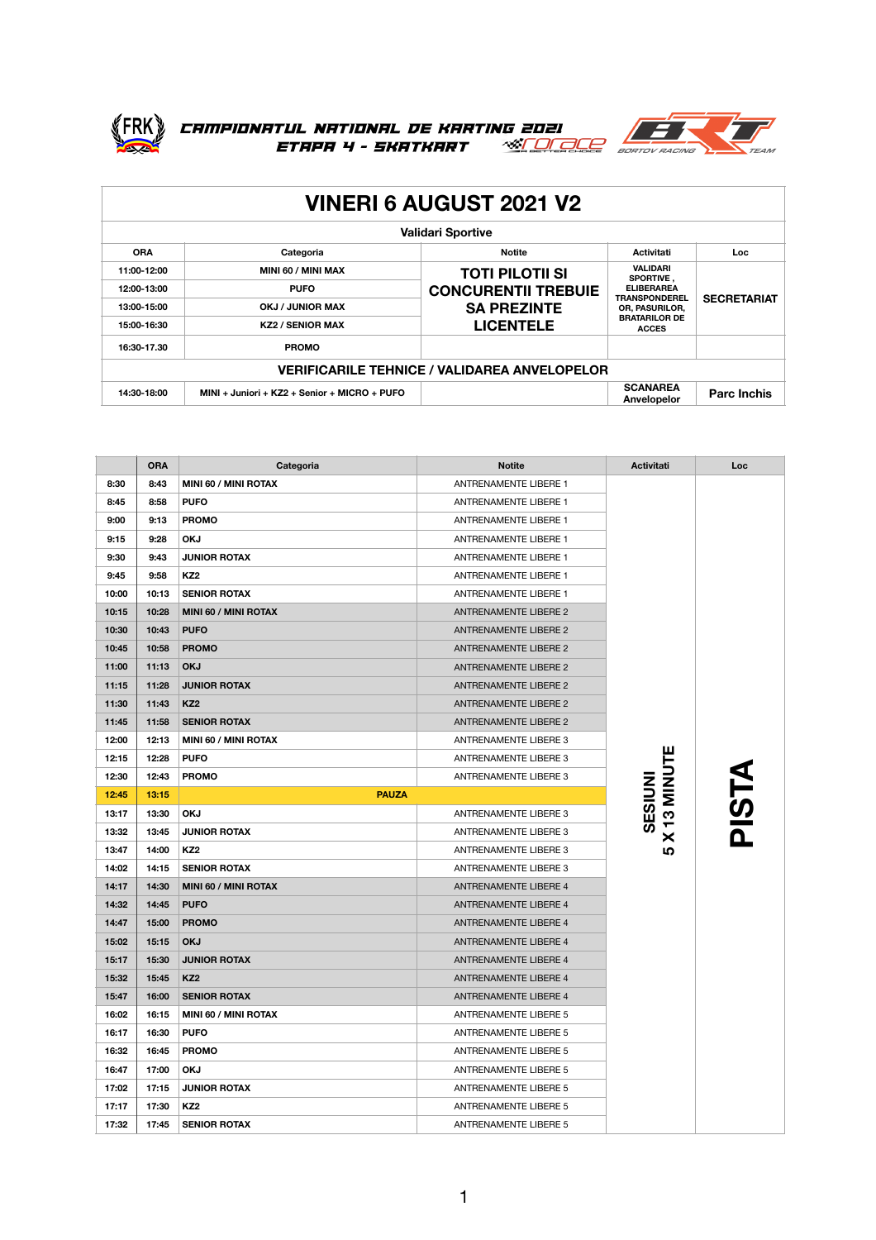

## FRK) CAMPIONATUL NATIONAL DE KARTING 2021<br>ETAPA 4 - SKATKART <u>«ELOLOLE</u> BORTOV RACING



| <b>VINERI 6 AUGUST 2021 V2</b>                      |                                              |                                                                                                |                                                                                                                                     |                    |  |
|-----------------------------------------------------|----------------------------------------------|------------------------------------------------------------------------------------------------|-------------------------------------------------------------------------------------------------------------------------------------|--------------------|--|
| <b>Validari Sportive</b>                            |                                              |                                                                                                |                                                                                                                                     |                    |  |
| <b>ORA</b>                                          | Categoria                                    | <b>Notite</b>                                                                                  | <b>Activitati</b>                                                                                                                   | Loc.               |  |
| 11:00-12:00                                         | MINI 60 / MINI MAX                           | <b>TOTI PILOTII SI</b><br><b>CONCURENTII TREBUIE</b><br><b>SA PREZINTE</b><br><b>LICENTELE</b> | <b>VALIDARI</b><br>SPORTIVE.<br><b>ELIBERAREA</b><br><b>TRANSPONDEREL</b><br>OR, PASURILOR,<br><b>BRATARILOR DE</b><br><b>ACCES</b> | <b>SECRETARIAT</b> |  |
| 12:00-13:00                                         | <b>PUFO</b>                                  |                                                                                                |                                                                                                                                     |                    |  |
| 13:00-15:00                                         | OKJ / JUNIOR MAX                             |                                                                                                |                                                                                                                                     |                    |  |
| 15:00-16:30                                         | <b>KZ2 / SENIOR MAX</b>                      |                                                                                                |                                                                                                                                     |                    |  |
| 16:30-17.30                                         | <b>PROMO</b>                                 |                                                                                                |                                                                                                                                     |                    |  |
| <b>VERIFICARILE TEHNICE / VALIDAREA ANVELOPELOR</b> |                                              |                                                                                                |                                                                                                                                     |                    |  |
| 14:30-18:00                                         | MINI + Juniori + KZ2 + Senior + MICRO + PUFO |                                                                                                | <b>SCANAREA</b><br>Anvelopelor                                                                                                      | <b>Parc Inchis</b> |  |

|       | <b>ORA</b> | Categoria            | <b>Notite</b>                | Activitati  | Loc   |
|-------|------------|----------------------|------------------------------|-------------|-------|
| 8:30  | 8:43       | MINI 60 / MINI ROTAX | <b>ANTRENAMENTE LIBERE 1</b> |             |       |
| 8:45  | 8:58       | <b>PUFO</b>          | <b>ANTRENAMENTE LIBERE 1</b> |             |       |
| 9:00  | 9:13       | <b>PROMO</b>         | ANTRENAMENTE LIBERE 1        |             |       |
| 9:15  | 9:28       | <b>OKJ</b>           | <b>ANTRENAMENTE LIBERE 1</b> |             |       |
| 9:30  | 9:43       | <b>JUNIOR ROTAX</b>  | ANTRENAMENTE LIBERE 1        |             |       |
| 9:45  | 9:58       | KZ <sub>2</sub>      | ANTRENAMENTE LIBERE 1        |             |       |
| 10:00 | 10:13      | <b>SENIOR ROTAX</b>  | ANTRENAMENTE LIBERE 1        |             |       |
| 10:15 | 10:28      | MINI 60 / MINI ROTAX | <b>ANTRENAMENTE LIBERE 2</b> |             |       |
| 10:30 | 10:43      | <b>PUFO</b>          | <b>ANTRENAMENTE LIBERE 2</b> |             |       |
| 10:45 | 10:58      | <b>PROMO</b>         | <b>ANTRENAMENTE LIBERE 2</b> |             |       |
| 11:00 | 11:13      | <b>OKJ</b>           | <b>ANTRENAMENTE LIBERE 2</b> |             |       |
| 11:15 | 11:28      | <b>JUNIOR ROTAX</b>  | <b>ANTRENAMENTE LIBERE 2</b> |             |       |
| 11:30 | 11:43      | KZ <sub>2</sub>      | <b>ANTRENAMENTE LIBERE 2</b> |             |       |
| 11:45 | 11:58      | <b>SENIOR ROTAX</b>  | <b>ANTRENAMENTE LIBERE 2</b> |             |       |
| 12:00 | 12:13      | MINI 60 / MINI ROTAX | ANTRENAMENTE LIBERE 3        |             |       |
| 12:15 | 12:28      | <b>PUFO</b>          | ANTRENAMENTE LIBERE 3        |             |       |
| 12:30 | 12:43      | <b>PROMO</b>         | ANTRENAMENTE LIBERE 3        | X 13 MINUTE | PISTA |
| 12:45 | 13:15      | <b>PAUZA</b>         |                              |             |       |
| 13:17 | 13:30      | <b>OKJ</b>           | ANTRENAMENTE LIBERE 3        | SESIUNI     |       |
| 13:32 | 13:45      | <b>JUNIOR ROTAX</b>  | ANTRENAMENTE LIBERE 3        |             |       |
| 13:47 | 14:00      | KZ <sub>2</sub>      | ANTRENAMENTE LIBERE 3        | <u> ဟ</u>   |       |
| 14:02 | 14:15      | <b>SENIOR ROTAX</b>  | ANTRENAMENTE LIBERE 3        |             |       |
| 14:17 | 14:30      | MINI 60 / MINI ROTAX | <b>ANTRENAMENTE LIBERE 4</b> |             |       |
| 14:32 | 14:45      | <b>PUFO</b>          | ANTRENAMENTE LIBERE 4        |             |       |
| 14:47 | 15:00      | <b>PROMO</b>         | <b>ANTRENAMENTE LIBERE 4</b> |             |       |
| 15:02 | 15:15      | <b>OKJ</b>           | <b>ANTRENAMENTE LIBERE 4</b> |             |       |
| 15:17 | 15:30      | <b>JUNIOR ROTAX</b>  | <b>ANTRENAMENTE LIBERE 4</b> |             |       |
| 15:32 | 15:45      | KZ <sub>2</sub>      | <b>ANTRENAMENTE LIBERE 4</b> |             |       |
| 15:47 | 16:00      | <b>SENIOR ROTAX</b>  | ANTRENAMENTE LIBERE 4        |             |       |
| 16:02 | 16:15      | MINI 60 / MINI ROTAX | ANTRENAMENTE LIBERE 5        |             |       |
| 16:17 | 16:30      | <b>PUFO</b>          | ANTRENAMENTE LIBERE 5        |             |       |
| 16:32 | 16:45      | <b>PROMO</b>         | ANTRENAMENTE LIBERE 5        |             |       |
| 16:47 | 17:00      | <b>OKJ</b>           | ANTRENAMENTE LIBERE 5        |             |       |
| 17:02 | 17:15      | <b>JUNIOR ROTAX</b>  | ANTRENAMENTE LIBERE 5        |             |       |
| 17:17 | 17:30      | KZ <sub>2</sub>      | <b>ANTRENAMENTE LIBERE 5</b> |             |       |
| 17:32 | 17:45      | <b>SENIOR ROTAX</b>  | <b>ANTRENAMENTE LIBERE 5</b> |             |       |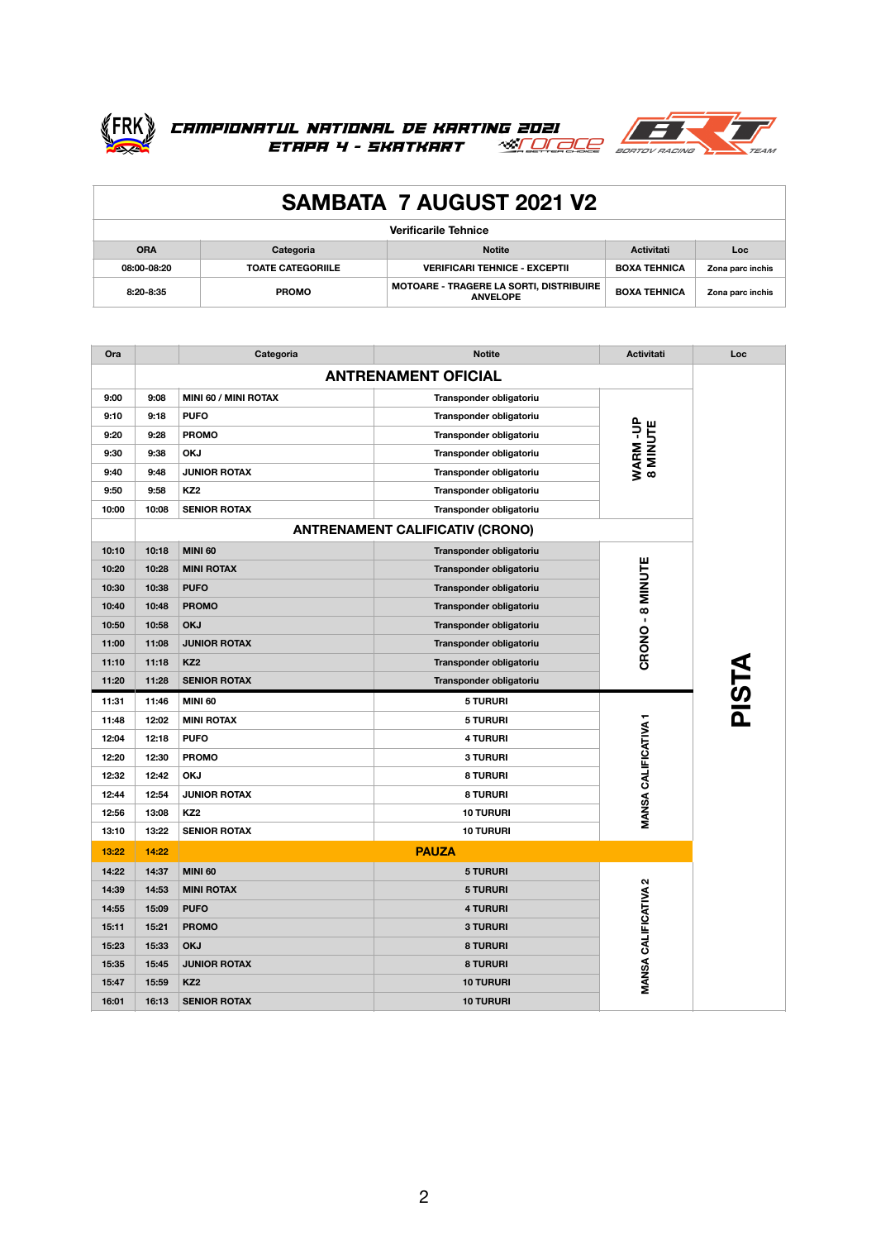



| <b>SAMBATA 7 AUGUST 2021 V2</b> |                          |                                                                   |                     |                  |  |
|---------------------------------|--------------------------|-------------------------------------------------------------------|---------------------|------------------|--|
| <b>Verificarile Tehnice</b>     |                          |                                                                   |                     |                  |  |
| <b>ORA</b>                      | Categoria                | <b>Notite</b>                                                     | <b>Activitati</b>   | <b>Loc</b>       |  |
| 08:00-08:20                     | <b>TOATE CATEGORIILE</b> | <b>VERIFICARI TEHNICE - EXCEPTII</b>                              | <b>BOXA TEHNICA</b> | Zona parc inchis |  |
| 8:20-8:35                       | <b>PROMO</b>             | <b>MOTOARE - TRAGERE LA SORTI, DISTRIBUIRE</b><br><b>ANVELOPE</b> | <b>BOXA TEHNICA</b> | Zona parc inchis |  |

| Ora   |                            | Categoria            | <b>Notite</b>                          | <b>Activitati</b>           | Loc   |
|-------|----------------------------|----------------------|----------------------------------------|-----------------------------|-------|
|       | <b>ANTRENAMENT OFICIAL</b> |                      |                                        |                             |       |
| 9:00  | 9:08                       | MINI 60 / MINI ROTAX | Transponder obligatoriu                |                             |       |
| 9:10  | 9:18                       | <b>PUFO</b>          | Transponder obligatoriu                |                             |       |
| 9:20  | 9:28                       | <b>PROMO</b>         | Transponder obligatoriu                | WARM-UP<br>8 MINUTE         |       |
| 9:30  | 9:38                       | <b>OKJ</b>           | Transponder obligatoriu                |                             |       |
| 9:40  | 9:48                       | <b>JUNIOR ROTAX</b>  | Transponder obligatoriu                |                             |       |
| 9:50  | 9:58                       | KZ <sub>2</sub>      | Transponder obligatoriu                |                             |       |
| 10:00 | 10:08                      | <b>SENIOR ROTAX</b>  | Transponder obligatoriu                |                             |       |
|       |                            |                      | <b>ANTRENAMENT CALIFICATIV (CRONO)</b> |                             |       |
| 10:10 | 10:18                      | <b>MINI 60</b>       | Transponder obligatoriu                |                             |       |
| 10:20 | 10:28                      | <b>MINI ROTAX</b>    | Transponder obligatoriu                |                             |       |
| 10:30 | 10:38                      | <b>PUFO</b>          | Transponder obligatoriu                |                             |       |
| 10:40 | 10:48                      | <b>PROMO</b>         | Transponder obligatoriu                |                             |       |
| 10:50 | 10:58                      | <b>OKJ</b>           | Transponder obligatoriu                |                             |       |
| 11:00 | 11:08                      | <b>JUNIOR ROTAX</b>  | Transponder obligatoriu                | CRONO-8 MINUTE              | PISTA |
| 11:10 | 11:18                      | KZ <sub>2</sub>      | Transponder obligatoriu                |                             |       |
| 11:20 | 11:28                      | <b>SENIOR ROTAX</b>  | Transponder obligatoriu                |                             |       |
| 11:31 | 11:46                      | <b>MINI 60</b>       | <b>5 TURURI</b>                        |                             |       |
| 11:48 | 12:02                      | <b>MINI ROTAX</b>    | <b>5 TURURI</b>                        |                             |       |
| 12:04 | 12:18                      | <b>PUFO</b>          | <b>4 TURURI</b>                        |                             |       |
| 12:20 | 12:30                      | <b>PROMO</b>         | <b>3 TURURI</b>                        |                             |       |
| 12:32 | 12:42                      | <b>OKJ</b>           | <b>8 TURURI</b>                        |                             |       |
| 12:44 | 12:54                      | <b>JUNIOR ROTAX</b>  | <b>8 TURURI</b>                        |                             |       |
| 12:56 | 13:08                      | KZ <sub>2</sub>      | <b>10 TURURI</b>                       | MANSA CALIFICATIVA 1        |       |
| 13:10 | 13:22                      | <b>SENIOR ROTAX</b>  | <b>10 TURURI</b>                       |                             |       |
| 13:22 | 14:22                      | <b>PAUZA</b>         |                                        |                             |       |
| 14:22 | 14:37                      | <b>MINI 60</b>       | <b>5 TURURI</b>                        |                             |       |
| 14:39 | 14:53                      | <b>MINI ROTAX</b>    | <b>5 TURURI</b>                        |                             |       |
| 14:55 | 15:09                      | <b>PUFO</b>          | <b>4 TURURI</b>                        |                             |       |
| 15:11 | 15:21                      | <b>PROMO</b>         | <b>3 TURURI</b>                        | <b>MANSA CALIFICATIVA 2</b> |       |
| 15:23 | 15:33                      | <b>OKJ</b>           | <b>8 TURURI</b>                        |                             |       |
| 15:35 | 15:45                      | <b>JUNIOR ROTAX</b>  | <b>8 TURURI</b>                        |                             |       |
| 15:47 | 15:59                      | KZ <sub>2</sub>      | <b>10 TURURI</b>                       |                             |       |
| 16:01 | 16:13                      | <b>SENIOR ROTAX</b>  | <b>10 TURURI</b>                       |                             |       |